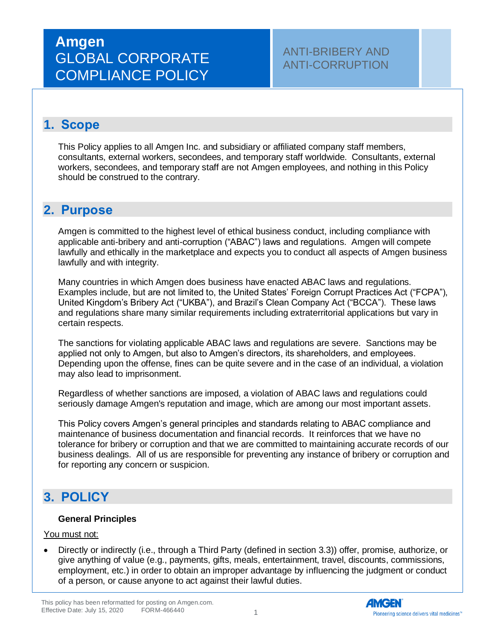### **1. Scope**

This Policy applies to all Amgen Inc. and subsidiary or affiliated company staff members, consultants, external workers, secondees, and temporary staff worldwide. Consultants, external workers, secondees, and temporary staff are not Amgen employees, and nothing in this Policy should be construed to the contrary.

## **2. Purpose**

Amgen is committed to the highest level of ethical business conduct, including compliance with applicable anti-bribery and anti-corruption ("ABAC") laws and regulations. Amgen will compete lawfully and ethically in the marketplace and expects you to conduct all aspects of Amgen business lawfully and with integrity.

Many countries in which Amgen does business have enacted ABAC laws and regulations. Examples include, but are not limited to, the United States' Foreign Corrupt Practices Act ("FCPA"), United Kingdom's Bribery Act ("UKBA"), and Brazil's Clean Company Act ("BCCA"). These laws and regulations share many similar requirements including extraterritorial applications but vary in certain respects.

The sanctions for violating applicable ABAC laws and regulations are severe. Sanctions may be applied not only to Amgen, but also to Amgen's directors, its shareholders, and employees. Depending upon the offense, fines can be quite severe and in the case of an individual, a violation may also lead to imprisonment.

Regardless of whether sanctions are imposed, a violation of ABAC laws and regulations could seriously damage Amgen's reputation and image, which are among our most important assets.

This Policy covers Amgen's general principles and standards relating to ABAC compliance and maintenance of business documentation and financial records. It reinforces that we have no tolerance for bribery or corruption and that we are committed to maintaining accurate records of our business dealings. All of us are responsible for preventing any instance of bribery or corruption and for reporting any concern or suspicion.

## **3. POLICY**

#### **General Principles**

#### You must not:

• Directly or indirectly (i.e., through a Third Party (defined in section 3.3)) offer, promise, authorize, or give anything of value (e.g., payments, gifts, meals, entertainment, travel, discounts, commissions, employment, etc.) in order to obtain an improper advantage by influencing the judgment or conduct of a person, or cause anyone to act against their lawful duties.

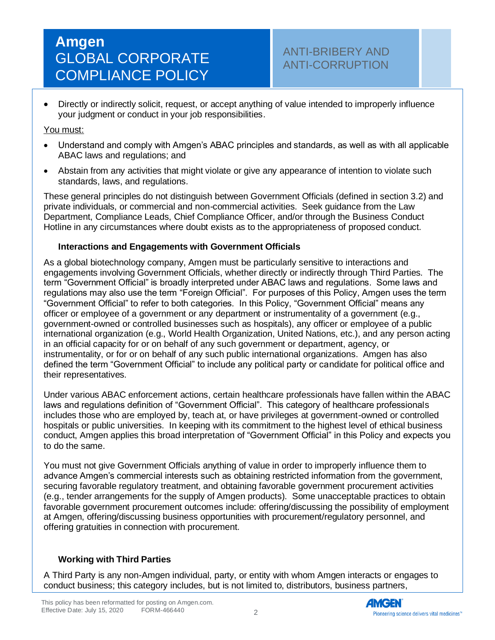### ANTI-BRIBERY AND ANTI-CORRUPTION

• Directly or indirectly solicit, request, or accept anything of value intended to improperly influence your judgment or conduct in your job responsibilities.

#### You must:

- Understand and comply with Amgen's ABAC principles and standards, as well as with all applicable ABAC laws and regulations; and
- Abstain from any activities that might violate or give any appearance of intention to violate such standards, laws, and regulations.

These general principles do not distinguish between Government Officials (defined in section 3.2) and private individuals, or commercial and non-commercial activities. Seek guidance from the Law Department, Compliance Leads, Chief Compliance Officer, and/or through the Business Conduct Hotline in any circumstances where doubt exists as to the appropriateness of proposed conduct.

#### **Interactions and Engagements with Government Officials**

As a global biotechnology company, Amgen must be particularly sensitive to interactions and engagements involving Government Officials, whether directly or indirectly through Third Parties. The term "Government Official" is broadly interpreted under ABAC laws and regulations. Some laws and regulations may also use the term "Foreign Official". For purposes of this Policy, Amgen uses the term "Government Official" to refer to both categories. In this Policy, "Government Official" means any officer or employee of a government or any department or instrumentality of a government (e.g., government-owned or controlled businesses such as hospitals), any officer or employee of a public international organization (e.g., World Health Organization, United Nations, etc.), and any person acting in an official capacity for or on behalf of any such government or department, agency, or instrumentality, or for or on behalf of any such public international organizations. Amgen has also defined the term "Government Official" to include any political party or candidate for political office and their representatives.

Under various ABAC enforcement actions, certain healthcare professionals have fallen within the ABAC laws and regulations definition of "Government Official". This category of healthcare professionals includes those who are employed by, teach at, or have privileges at government-owned or controlled hospitals or public universities. In keeping with its commitment to the highest level of ethical business conduct, Amgen applies this broad interpretation of "Government Official" in this Policy and expects you to do the same.

You must not give Government Officials anything of value in order to improperly influence them to advance Amgen's commercial interests such as obtaining restricted information from the government, securing favorable regulatory treatment, and obtaining favorable government procurement activities (e.g., tender arrangements for the supply of Amgen products). Some unacceptable practices to obtain favorable government procurement outcomes include: offering/discussing the possibility of employment at Amgen, offering/discussing business opportunities with procurement/regulatory personnel, and offering gratuities in connection with procurement.

#### **Working with Third Parties**

A Third Party is any non-Amgen individual, party, or entity with whom Amgen interacts or engages to conduct business; this category includes, but is not limited to, distributors, business partners,

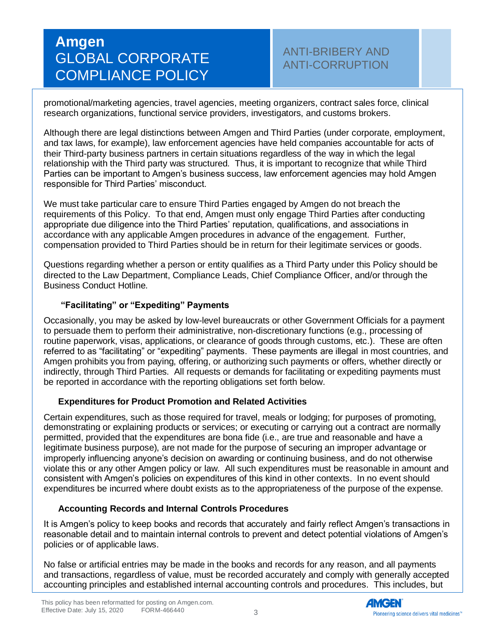### ANTI-BRIBERY AND ANTI-CORRUPTION

promotional/marketing agencies, travel agencies, meeting organizers, contract sales force, clinical research organizations, functional service providers, investigators, and customs brokers.

Although there are legal distinctions between Amgen and Third Parties (under corporate, employment, and tax laws, for example), law enforcement agencies have held companies accountable for acts of their Third-party business partners in certain situations regardless of the way in which the legal relationship with the Third party was structured. Thus, it is important to recognize that while Third Parties can be important to Amgen's business success, law enforcement agencies may hold Amgen responsible for Third Parties' misconduct.

We must take particular care to ensure Third Parties engaged by Amgen do not breach the requirements of this Policy. To that end, Amgen must only engage Third Parties after conducting appropriate due diligence into the Third Parties' reputation, qualifications, and associations in accordance with any applicable Amgen procedures in advance of the engagement. Further, compensation provided to Third Parties should be in return for their legitimate services or goods.

Questions regarding whether a person or entity qualifies as a Third Party under this Policy should be directed to the Law Department, Compliance Leads, Chief Compliance Officer, and/or through the Business Conduct Hotline.

#### **"Facilitating" or "Expediting" Payments**

Occasionally, you may be asked by low-level bureaucrats or other Government Officials for a payment to persuade them to perform their administrative, non-discretionary functions (e.g., processing of routine paperwork, visas, applications, or clearance of goods through customs, etc.). These are often referred to as "facilitating" or "expediting" payments. These payments are illegal in most countries, and Amgen prohibits you from paying, offering, or authorizing such payments or offers, whether directly or indirectly, through Third Parties. All requests or demands for facilitating or expediting payments must be reported in accordance with the reporting obligations set forth below.

#### **Expenditures for Product Promotion and Related Activities**

Certain expenditures, such as those required for travel, meals or lodging; for purposes of promoting, demonstrating or explaining products or services; or executing or carrying out a contract are normally permitted, provided that the expenditures are bona fide (i.e., are true and reasonable and have a legitimate business purpose), are not made for the purpose of securing an improper advantage or improperly influencing anyone's decision on awarding or continuing business, and do not otherwise violate this or any other Amgen policy or law. All such expenditures must be reasonable in amount and consistent with Amgen's policies on expenditures of this kind in other contexts. In no event should expenditures be incurred where doubt exists as to the appropriateness of the purpose of the expense.

#### **Accounting Records and Internal Controls Procedures**

It is Amgen's policy to keep books and records that accurately and fairly reflect Amgen's transactions in reasonable detail and to maintain internal controls to prevent and detect potential violations of Amgen's policies or of applicable laws.

No false or artificial entries may be made in the books and records for any reason, and all payments and transactions, regardless of value, must be recorded accurately and comply with generally accepted accounting principles and established internal accounting controls and procedures. This includes, but